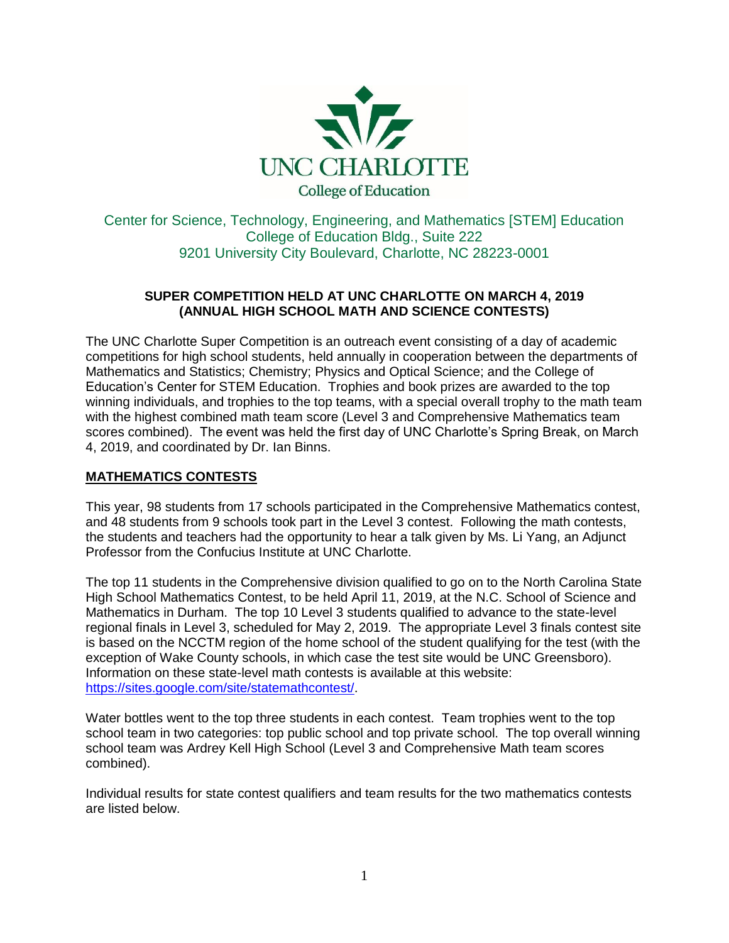

Center for Science, Technology, Engineering, and Mathematics [STEM] Education College of Education Bldg., Suite 222 9201 University City Boulevard, Charlotte, NC 28223-0001

### **SUPER COMPETITION HELD AT UNC CHARLOTTE ON MARCH 4, 2019 (ANNUAL HIGH SCHOOL MATH AND SCIENCE CONTESTS)**

The UNC Charlotte Super Competition is an outreach event consisting of a day of academic competitions for high school students, held annually in cooperation between the departments of Mathematics and Statistics; Chemistry; Physics and Optical Science; and the College of Education's Center for STEM Education. Trophies and book prizes are awarded to the top winning individuals, and trophies to the top teams, with a special overall trophy to the math team with the highest combined math team score (Level 3 and Comprehensive Mathematics team scores combined). The event was held the first day of UNC Charlotte's Spring Break, on March 4, 2019, and coordinated by Dr. Ian Binns.

# **MATHEMATICS CONTESTS**

This year, 98 students from 17 schools participated in the Comprehensive Mathematics contest, and 48 students from 9 schools took part in the Level 3 contest. Following the math contests, the students and teachers had the opportunity to hear a talk given by Ms. Li Yang, an Adjunct Professor from the Confucius Institute at UNC Charlotte.

The top 11 students in the Comprehensive division qualified to go on to the North Carolina State High School Mathematics Contest, to be held April 11, 2019, at the N.C. School of Science and Mathematics in Durham. The top 10 Level 3 students qualified to advance to the state-level regional finals in Level 3, scheduled for May 2, 2019. The appropriate Level 3 finals contest site is based on the NCCTM region of the home school of the student qualifying for the test (with the exception of Wake County schools, in which case the test site would be UNC Greensboro). Information on these state-level math contests is available at this website: [https://sites.google.com/site/statemathcontest/.](https://sites.google.com/site/statemathcontest/)

Water bottles went to the top three students in each contest. Team trophies went to the top school team in two categories: top public school and top private school. The top overall winning school team was Ardrey Kell High School (Level 3 and Comprehensive Math team scores combined).

Individual results for state contest qualifiers and team results for the two mathematics contests are listed below.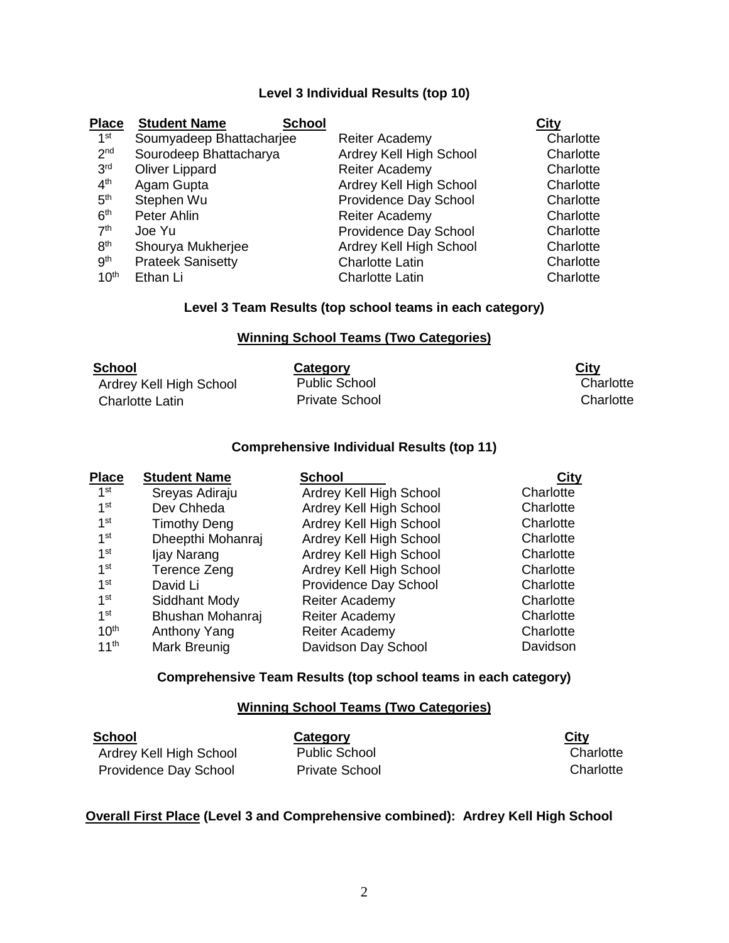# **Level 3 Individual Results (top 10)**

| <b>Place</b>     | <b>Student Name</b><br><b>School</b> |                         | City      |
|------------------|--------------------------------------|-------------------------|-----------|
| 1 <sup>st</sup>  | Soumyadeep Bhattacharjee             | <b>Reiter Academy</b>   | Charlotte |
| 2 <sub>nd</sub>  | Sourodeep Bhattacharya               | Ardrey Kell High School | Charlotte |
| 3 <sup>rd</sup>  | <b>Oliver Lippard</b>                | <b>Reiter Academy</b>   | Charlotte |
| 4 <sup>th</sup>  | Agam Gupta                           | Ardrey Kell High School | Charlotte |
| 5 <sup>th</sup>  | Stephen Wu                           | Providence Day School   | Charlotte |
| 6 <sup>th</sup>  | Peter Ahlin                          | <b>Reiter Academy</b>   | Charlotte |
| 7 <sup>th</sup>  | Joe Yu                               | Providence Day School   | Charlotte |
| 8 <sup>th</sup>  | Shourya Mukherjee                    | Ardrey Kell High School | Charlotte |
| <b>gth</b>       | <b>Prateek Sanisetty</b>             | <b>Charlotte Latin</b>  | Charlotte |
| 10 <sup>th</sup> | Ethan Li                             | <b>Charlotte Latin</b>  | Charlotte |
|                  |                                      |                         |           |

# **Level 3 Team Results (top school teams in each category)**

### **Winning School Teams (Two Categories)**

| <b>School</b>           | Category              | <b>City</b> |
|-------------------------|-----------------------|-------------|
| Ardrey Kell High School | <b>Public School</b>  | Charlotte   |
| Charlotte Latin         | <b>Private School</b> | Charlotte   |

#### **Comprehensive Individual Results (top 11)**

| <b>Place</b>     | <b>Student Name</b> | <b>School</b>           | <b>City</b> |
|------------------|---------------------|-------------------------|-------------|
| 1 <sup>st</sup>  | Sreyas Adiraju      | Ardrey Kell High School | Charlotte   |
| 1 <sup>st</sup>  | Dev Chheda          | Ardrey Kell High School | Charlotte   |
| 1 <sup>st</sup>  | <b>Timothy Deng</b> | Ardrey Kell High School | Charlotte   |
| 1 <sup>st</sup>  | Dheepthi Mohanraj   | Ardrey Kell High School | Charlotte   |
| 1 <sup>st</sup>  | Ijay Narang         | Ardrey Kell High School | Charlotte   |
| 1 <sup>st</sup>  | Terence Zeng        | Ardrey Kell High School | Charlotte   |
| 1 <sup>st</sup>  | David Li            | Providence Day School   | Charlotte   |
| 1 <sup>st</sup>  | Siddhant Mody       | Reiter Academy          | Charlotte   |
| 1 <sup>st</sup>  | Bhushan Mohanraj    | Reiter Academy          | Charlotte   |
| 10 <sup>th</sup> | Anthony Yang        | Reiter Academy          | Charlotte   |
| 11 <sup>th</sup> | Mark Breunig        | Davidson Day School     | Davidson    |

#### **Comprehensive Team Results (top school teams in each category)**

## **Winning School Teams (Two Categories)**

| School                  | Category              | <b>City</b> |
|-------------------------|-----------------------|-------------|
| Ardrey Kell High School | <b>Public School</b>  | Charlotte   |
| Providence Day School   | <b>Private School</b> | Charlotte   |

### **Overall First Place (Level 3 and Comprehensive combined): Ardrey Kell High School**